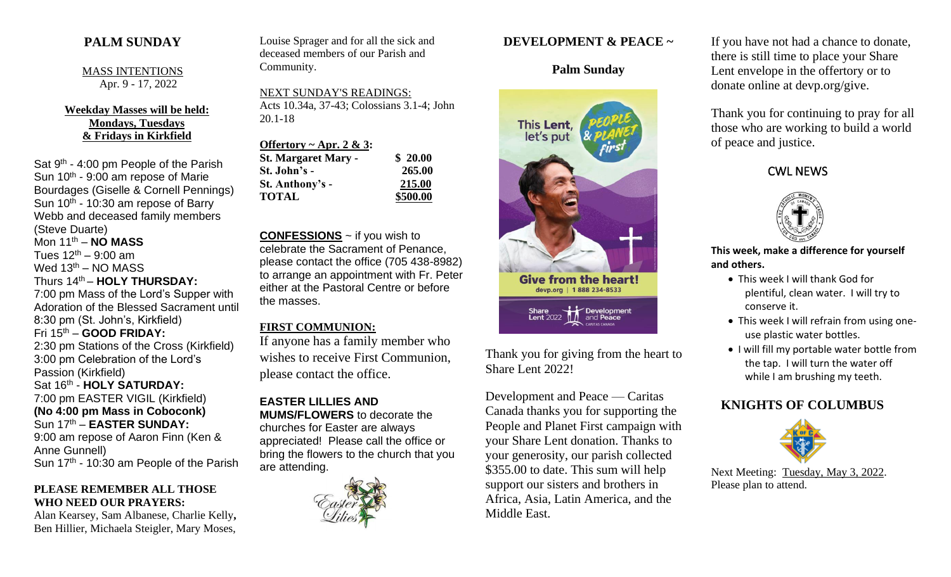## **PALM SUNDAY**

MASS INTENTIONS Apr. 9 - 17, 2022

**Weekday Masses will be held: Mondays, Tuesdays & Fridays in Kirkfield**

Sat 9<sup>th</sup> - 4:00 pm People of the Parish Sun 10<sup>th</sup> - 9:00 am repose of Marie Bourdages (Giselle & Cornell Pennings) Sun 10<sup>th</sup> - 10:30 am repose of Barry Webb and deceased family members (Steve Duarte) Mon 11th – **NO MASS** Tues  $12^{th} - 9:00$  am Wed  $13<sup>th</sup> - NO MASS$ Thurs 14th – **HOLY THURSDAY:** 7:00 pm Mass of the Lord's Supper with Adoration of the Blessed Sacrament until 8:30 pm (St. John's, Kirkfield) Fri 15th – **GOOD FRIDAY:** 2:30 pm Stations of the Cross (Kirkfield) 3:00 pm Celebration of the Lord's Passion (Kirkfield) Sat 16<sup>th</sup> - **HOLY SATURDAY:** 7:00 pm EASTER VIGIL (Kirkfield) **(No 4:00 pm Mass in Coboconk)** Sun 17<sup>th</sup> – **EASTER SUNDAY:** 9:00 am repose of Aaron Finn (Ken & Anne Gunnell) Sun 17<sup>th</sup> - 10:30 am People of the Parish

#### **PLEASE REMEMBER ALL THOSE WHO NEED OUR PRAYERS:**

Alan Kearsey, Sam Albanese, Charlie Kelly**,**  Ben Hillier, Michaela Steigler, Mary Moses,

Louise Sprager and for all the sick and deceased members of our Parish and Community.

NEXT SUNDAY'S READINGS: Acts 10.34a, 37-43; Colossians 3.1-4; John 20.1-18

| Offertory ~ Apr. 2 & 3:    |          |
|----------------------------|----------|
| <b>St. Margaret Mary -</b> | \$20.00  |
| St. John's -               | 265.00   |
| St. Anthony's -            | 215.00   |
| <b>TOTAL</b>               | \$500.00 |

**CONFESSIONS** ~ if you wish to celebrate the Sacrament of Penance, please contact the office (705 438-8982) to arrange an appointment with Fr. Peter either at the Pastoral Centre or before the masses.

#### **FIRST COMMUNION:**

If anyone has a family member who wishes to receive First Communion, please contact the office.

**EASTER LILLIES AND MUMS/FLOWERS** to decorate the churches for Easter are always appreciated! Please call the office or bring the flowers to the church that you are attending.



### **DEVELOPMENT & PEACE ~**

## **Palm Sunday**



Thank you for giving from the heart to Share Lent 2022!

Development and Peace — Caritas Canada thanks you for supporting the People and Planet First campaign with your Share Lent donation. Thanks to your generosity, our parish collected \$355.00 to date. This sum will help support our sisters and brothers in Africa, Asia, Latin America, and the Middle East.

If you have not had a chance to donate, there is still time to place your Share Lent envelope in the offertory or to donate online at devp.org/give.

Thank you for continuing to pray for all those who are working to build a world of peace and justice.





#### **This week, make a difference for yourself and others.**

- This week I will thank God for plentiful, clean water. I will try to conserve it.
- This week I will refrain from using oneuse plastic water bottles.
- I will fill my portable water bottle from the tap. I will turn the water off while I am brushing my teeth.

# **KNIGHTS OF COLUMBUS**



Next Meeting: Tuesday, May 3, 2022. Please plan to attend.